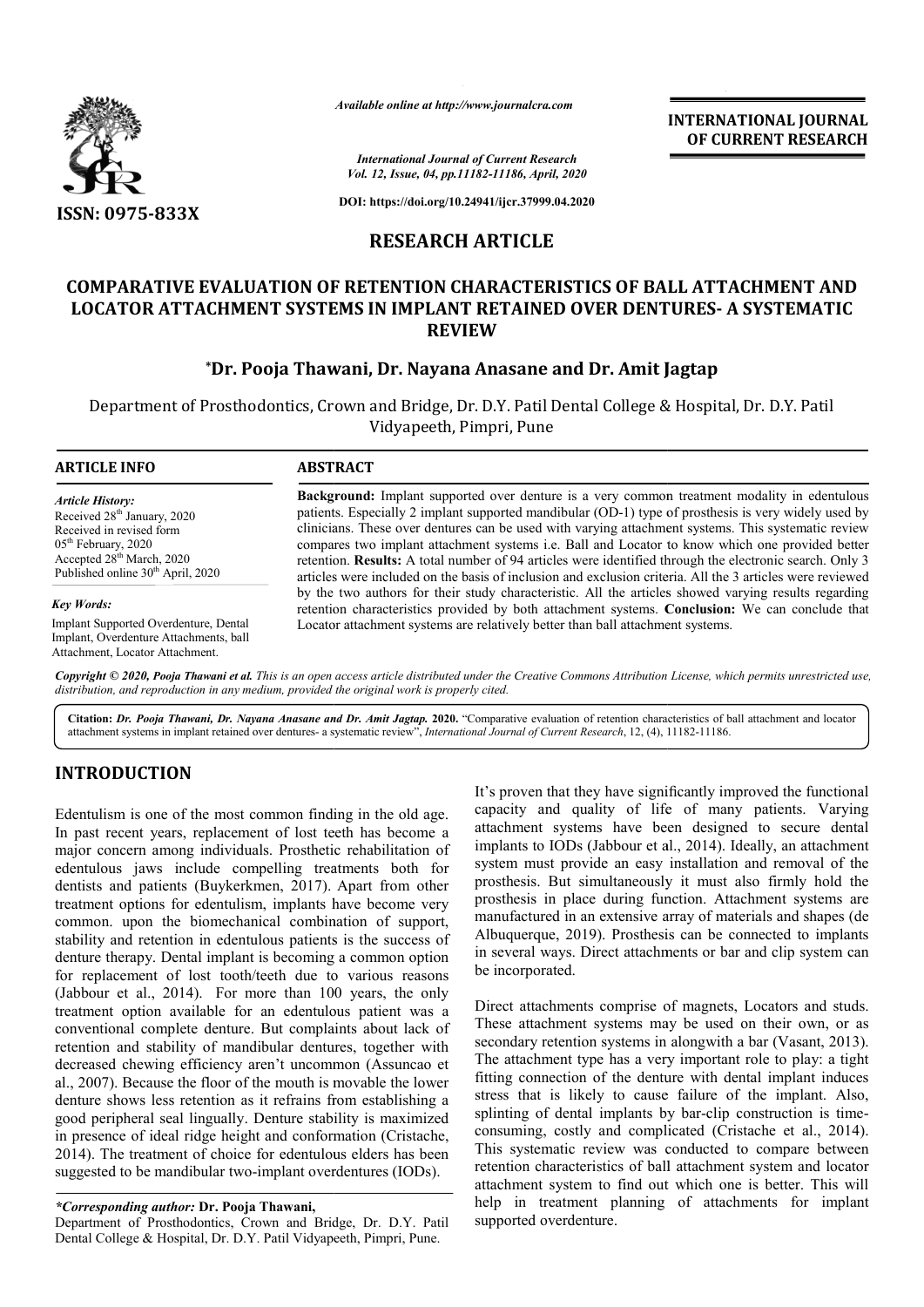

*Available online at http://www.journalcra.com*

*International Journal of Current Research Vol. 12, Issue, 04, pp.11182-11186, April, 2020*

**DOI: https://doi.org/10.24941/ijcr.37999.04.2020**

# **RESEARCH ARTICLE**

## **COMPARATIVE EVALUATION OF RETENTION CHARACTERISTICS OF BALL ATTACHMENT AND LOCATOR ATTACHMENT SYSTEMS IN IMPLANT RETAINED OVER DENTURES DENTURES- A SYSTEMATIC REVIEW**

### **\*Dr. Pooja Thawani, Dr. Nayana Anasane and Dr. Amit Jagtap Dr. Dr. Pooja**

Department of Prosthodontics, Crown and Bridge, Dr. D.Y. Patil Dental College & Hospital, Dr. D.Y. Patil Vidyapeeth, Pimpri, Pune

| <b>ARTICLE INFO</b>                                                                                                                                                                                               | <b>ABSTRACT</b>                                                                                                                                                                                                                                                                                                                                                                                                                                                                                                                                                                                                                               |  |  |  |  |  |  |  |
|-------------------------------------------------------------------------------------------------------------------------------------------------------------------------------------------------------------------|-----------------------------------------------------------------------------------------------------------------------------------------------------------------------------------------------------------------------------------------------------------------------------------------------------------------------------------------------------------------------------------------------------------------------------------------------------------------------------------------------------------------------------------------------------------------------------------------------------------------------------------------------|--|--|--|--|--|--|--|
| <b>Article History:</b><br>Received 28 <sup>th</sup> January, 2020<br>Received in revised form<br>$05th$ February, 2020<br>Accepted 28 <sup>th</sup> March, 2020<br>Published online 30 <sup>th</sup> April, 2020 | Background: Implant supported over denture is a very common treatment modality in edentulous<br>patients. Especially 2 implant supported mandibular (OD-1) type of prosthesis is very widely used by<br>clinicians. These over dentures can be used with varying attachment systems. This systematic review<br>compares two implant attachment systems <i>i.e.</i> Ball and Locator to know which one provided better<br>retention. Results: A total number of 94 articles were identified through the electronic search. Only 3<br>articles were included on the basis of inclusion and exclusion criteria. All the 3 articles were reviewed |  |  |  |  |  |  |  |
| Key Words:                                                                                                                                                                                                        | by the two authors for their study characteristic. All the articles showed varying results regarding<br>retention characteristics provided by both attachment systems. Conclusion: We can conclude that                                                                                                                                                                                                                                                                                                                                                                                                                                       |  |  |  |  |  |  |  |
| Implant Supported Overdenture, Dental<br>Implant, Overdenture Attachments, ball                                                                                                                                   | Locator attachment systems are relatively better than ball attachment systems.                                                                                                                                                                                                                                                                                                                                                                                                                                                                                                                                                                |  |  |  |  |  |  |  |

Copyright © 2020, Pooja Thawani et al. This is an open access article distributed under the Creative Commons Attribution License, which permits unrestricted use, *distribution, and reproduction in any medium, provided the original work is properly cited.*

Citation: Dr. Pooja Thawani, Dr. Nayana Anasane and Dr. Amit Jagtap. 2020. "Comparative evaluation of retention characteristics of ball attachment and locator attachment systems in implant retained over dentures- a systematic review", *International Journal of Current Research*, 12, (4), 11182-11186.

## **INTRODUCTION**

Attachment, Locator Attachment.

Edentulism is one of the most common finding in the old age. In past recent years, replacement of lost teeth has become a major concern among individuals. Prosthetic rehabilitation of edentulous jaws include compelling treatments both for dentists and patients (Buykerkmen, 2017). Apart from other treatment options for edentulism, implants have become very common. upon the biomechanical combination of support, stability and retention in edentulous patients is the success of denture therapy. Dental implant is becoming a common option for replacement of lost tooth/teeth due to various reasons (Jabbour et al., 2014). For more than 100 years, the only treatment option available for an edentulous patient was a conventional complete denture. But complaints about lack of retention and stability of mandibular dentures, together with decreased chewing efficiency aren't uncommon (Assuncao et al., 2007). Because the floor of the mouth is movable the lower denture shows less retention as it refrains from establishing a good peripheral seal lingually. Denture stability is maximized in presence of ideal ridge height and conformation (Cristache, 2014). The treatment of choice for edentulous elders has been suggested to be mandibular two-implant overdentures (IODs). It's proven that they have signinous ifter the most common finding in the old age. Capacity and quality of lift coencer areason, replacement of lost teeth has become a datachment systems have been among individuals. Prosth

#### *\*Corresponding author:* **Dr. Pooja Thawani,**

Department of Prosthodontics, Crown and Bridge, Dr. D.Y. Patil Dental College & Hospital, Dr. D.Y. Patil Vidyapeeth, Pimpri, Pune.

capacity and quality of life of many patients. Varying attachment systems have been designed to secure dental implants to IODs (Jabbour et al., 2014). Ideally, an attachment system must provide an easy installation and removal of the prosthesis. But simultaneously it must also firmly hold the prosthesis in place during function. Attachment systems are manufactured in an extensive array of materials and shapes (de Albuquerque, 2019). Prosthesis can be connected to implants in several ways. Direct attachments or bar and clip system can be incorporated. It's proven that they have significantly improved the functional attachment systems have been designed to secure dental<br>implants to IODs (Jabbour et al., 2014). Ideally, an attachment<br>system must provide an easy installation and removal of the<br>prosthesis. But simultaneously it must also

**INTERNATIONAL JOURNAL OF CURRENT RESEARCH**

Direct attachments comprise of magnets, Locators and studs. These attachment systems may be used on their own, or as secondary retention systems in alongwith a bar (Vasant, 2013). The attachment type has a very important role to play: a tight fitting connection of the denture with dental implant induces stress that is likely to cause failure of the implant. Also, splinting of dental implants by bar-clip construction is timeconsuming, costly and complicated (Cristache et al., 2014). This systematic review was conducted to compare between retention characteristics of ball attachment system and locator attachment system to find out which one is better. This will help in treatment planning of attachments for implant supported overdenture. in several ways. Direct attachments or bar and clip system can<br>be incorporated.<br>Direct attachments comprise of magnets, Locators and studs.<br>These attachment systems may be used on their own, or as<br>secondary retention syste y and complicated (Cristache et al., 2014).<br>review was conducted to compare between<br>eristics of ball attachment system and locator<br>m to find out which one is better. This will INTERNATIONAL JOURNAL<br>
INTERNATIONAL JOURNAL<br>
INTERNATIONAL JOURNAL<br>
INTERNATIONAL TOP CURRENT RESEARCH<br>
INTERNATION<br>
ITERNSTICS OF BALL ATTACHMENT AND<br>
ITERNSTICS OF BALL ATTACHMENT AND<br>
ITERNSTICS OF BALL ATTACHMENT AND<br>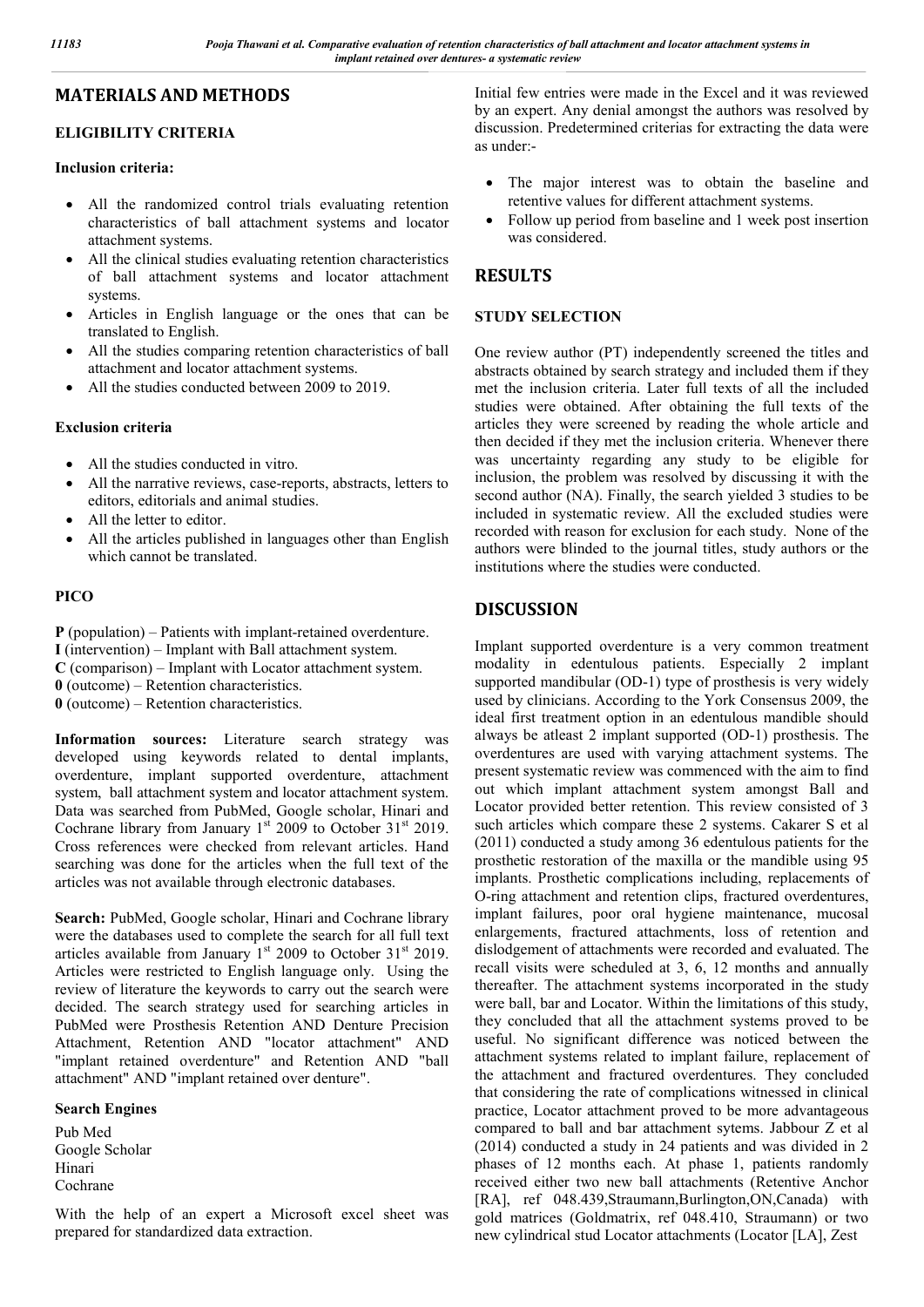# **MATERIALS AND METHODS**

### **ELIGIBILITY CRITERIA**

#### **Inclusion criteria:**

- All the randomized control trials evaluating retention characteristics of ball attachment systems and locator attachment systems.
- All the clinical studies evaluating retention characteristics of ball attachment systems and locator attachment systems.
- Articles in English language or the ones that can be translated to English.
- All the studies comparing retention characteristics of ball attachment and locator attachment systems.
- All the studies conducted between 2009 to 2019.

### **Exclusion criteria**

- All the studies conducted in vitro.
- All the narrative reviews, case-reports, abstracts, letters to editors, editorials and animal studies.
- All the letter to editor.
- All the articles published in languages other than English which cannot be translated.

#### **PICO**

- **P** (population) Patients with implant-retained overdenture.
- **I** (intervention) Implant with Ball attachment system.
- **C** (comparison) Implant with Locator attachment system.
- **0** (outcome) Retention characteristics.
- **0** (outcome) Retention characteristics.

**Information sources:** Literature search strategy was developed using keywords related to dental implants, overdenture, implant supported overdenture, attachment system, ball attachment system and locator attachment system. Data was searched from PubMed, Google scholar, Hinari and Cochrane library from January  $1<sup>st</sup>$  2009 to October 31 $<sup>st</sup>$  2019.</sup> Cross references were checked from relevant articles. Hand searching was done for the articles when the full text of the articles was not available through electronic databases.

Search: PubMed, Google scholar, Hinari and Cochrane library were the databases used to complete the search for all full text articles available from January  $1<sup>st</sup>$  2009 to October 31 $<sup>st</sup>$  2019.</sup> Articles were restricted to English language only. Using the review of literature the keywords to carry out the search were decided. The search strategy used for searching articles in PubMed were Prosthesis Retention AND Denture Precision Attachment, Retention AND "locator attachment" AND "implant retained overdenture" and Retention AND "ball attachment" AND "implant retained over denture".

#### **Search Engines**

Pub Med Google Scholar Hinari Cochrane

With the help of an expert a Microsoft excel sheet was prepared for standardized data extraction.

Initial few entries were made in the Excel and it was reviewed by an expert. Any denial amongst the authors was resolved by discussion. Predetermined criterias for extracting the data were as under:-

- The major interest was to obtain the baseline and retentive values for different attachment systems.
- Follow up period from baseline and 1 week post insertion was considered.

# **RESULTS**

#### **STUDY SELECTION**

One review author (PT) independently screened the titles and abstracts obtained by search strategy and included them if they met the inclusion criteria. Later full texts of all the included studies were obtained. After obtaining the full texts of the articles they were screened by reading the whole article and then decided if they met the inclusion criteria. Whenever there was uncertainty regarding any study to be eligible for inclusion, the problem was resolved by discussing it with the second author (NA). Finally, the search yielded 3 studies to be included in systematic review. All the excluded studies were recorded with reason for exclusion for each study. None of the authors were blinded to the journal titles, study authors or the institutions where the studies were conducted.

## **DISCUSSION**

Implant supported overdenture is a very common treatment modality in edentulous patients. Especially 2 implant supported mandibular (OD-1) type of prosthesis is very widely used by clinicians. According to the York Consensus 2009, the ideal first treatment option in an edentulous mandible should always be atleast 2 implant supported (OD-1) prosthesis. The overdentures are used with varying attachment systems. The present systematic review was commenced with the aim to find out which implant attachment system amongst Ball and Locator provided better retention. This review consisted of 3 such articles which compare these 2 systems. Cakarer S et al (2011) conducted a study among 36 edentulous patients for the prosthetic restoration of the maxilla or the mandible using 95 implants. Prosthetic complications including, replacements of O-ring attachment and retention clips, fractured overdentures, implant failures, poor oral hygiene maintenance, mucosal enlargements, fractured attachments, loss of retention and dislodgement of attachments were recorded and evaluated. The recall visits were scheduled at 3, 6, 12 months and annually thereafter. The attachment systems incorporated in the study were ball, bar and Locator. Within the limitations of this study, they concluded that all the attachment systems proved to be useful. No significant difference was noticed between the attachment systems related to implant failure, replacement of the attachment and fractured overdentures. They concluded that considering the rate of complications witnessed in clinical practice, Locator attachment proved to be more advantageous compared to ball and bar attachment sytems. Jabbour Z et al (2014) conducted a study in 24 patients and was divided in 2 phases of 12 months each. At phase 1, patients randomly received either two new ball attachments (Retentive Anchor [RA], ref 048.439,Straumann,Burlington,ON,Canada) with gold matrices (Goldmatrix, ref 048.410, Straumann) or two new cylindrical stud Locator attachments (Locator [LA], Zest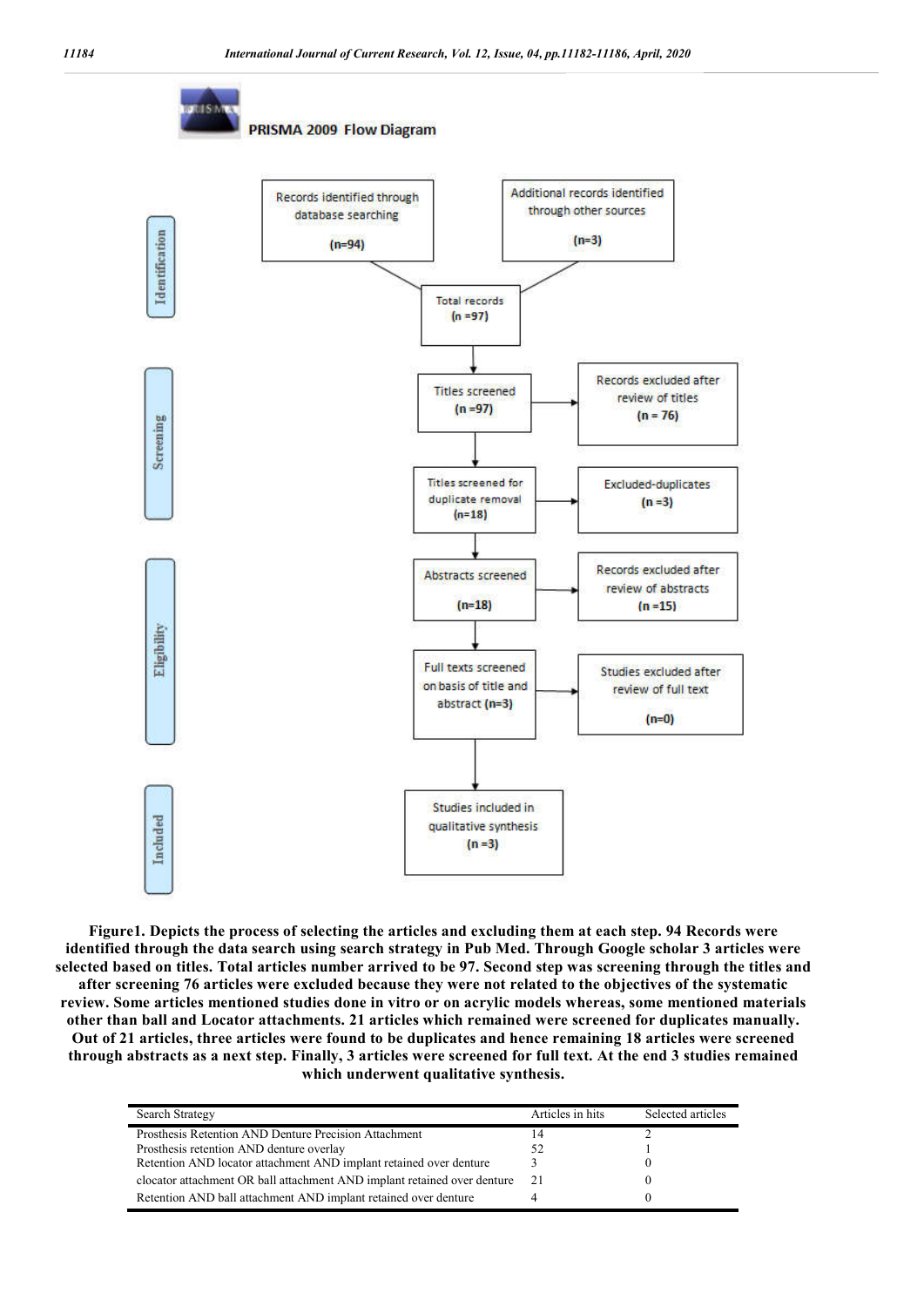

**Figure1. Depicts the process of selecting the articles and excluding them at each step. 94 Records were identified through the data search using search strategy in Pub Med. Through Google scholar 3 articles were selected based on titles. Total articles number arrived to be 97. Second step was screening through the titles and after screening 76 articles were excluded because they were not related to the objectives of the systematic review. Some articles mentioned studies done in vitro or on acrylic models whereas, some mentioned materials other than ball and Locator attachments. 21 articles which remained were screened for duplicates manually. Out of 21 articles, three articles were found to be duplicates and hence remaining 18 articles were screened through abstracts as a next step. Finally, 3 articles were screened for full text. At the end 3 studies remained which underwent qualitative synthesis.**

| <b>Search Strategy</b>                                                   | Articles in hits | Selected articles |
|--------------------------------------------------------------------------|------------------|-------------------|
| Prosthesis Retention AND Denture Precision Attachment                    | 14               |                   |
| Prosthesis retention AND denture overlay                                 | 52               |                   |
| Retention AND locator attachment AND implant retained over denture       |                  |                   |
| clocator attachment OR ball attachment AND implant retained over denture | 21               |                   |
| Retention AND ball attachment AND implant retained over denture          |                  |                   |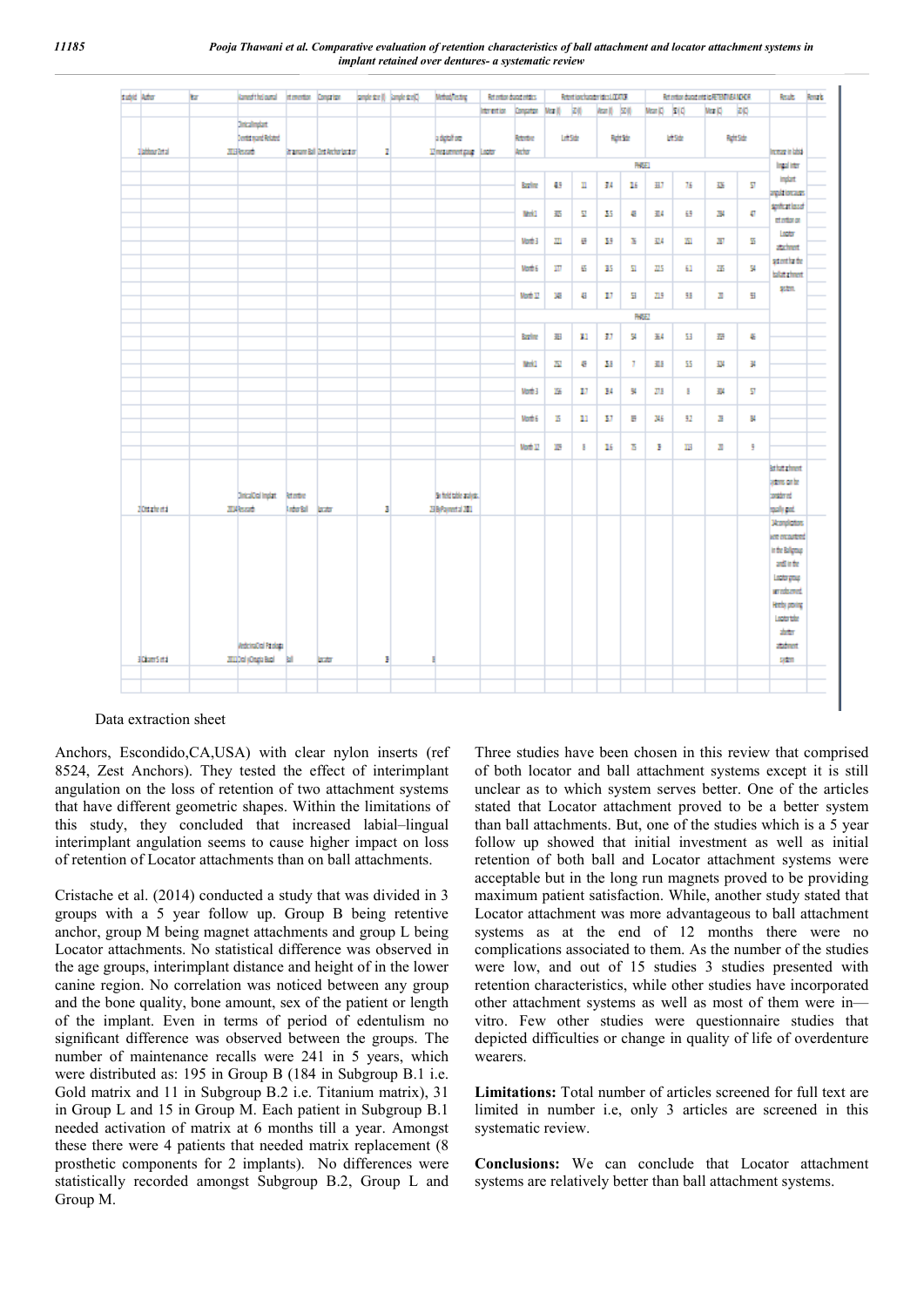*11185 Pooja Thawani et al. Comparative evaluation of retention characteristics of ball attachment and locator attachment systems in implant retained over dentures- a systematic review*

|                     | subid Ador             | ta | kansafthslaunal interester Consarion<br><b>Untainplant</b><br><b>Dentist mand Related</b> |                   |                                | simple stell (ample stell) | <b>Veladients</b><br>adatation | Retention dramaterials: |                                          | Retent tore focus on total CCATCH |   |                 |     | Retention doctor entries RETENTI (EA NEVER) |    |           |    | Results               | Renato |
|---------------------|------------------------|----|-------------------------------------------------------------------------------------------|-------------------|--------------------------------|----------------------------|--------------------------------|-------------------------|------------------------------------------|-----------------------------------|---|-----------------|-----|---------------------------------------------|----|-----------|----|-----------------------|--------|
|                     |                        |    |                                                                                           |                   |                                |                            |                                |                         | Interestion Comparter Meal (20)<br>Renty |                                   |   | Visan (I) 52(I) |     | Man (C) 50(C)                               |    | Mar (C)   | 20 |                       |        |
|                     |                        |    |                                                                                           |                   |                                |                            |                                |                         |                                          | LetSde                            |   | Reference       |     | <b>LitSde</b>                               |    | Refrision |    |                       |        |
| <b>Ulabhar2rtal</b> |                        |    | ZDBisson                                                                                  |                   | International End Archiviacion | z                          | <b>Distanctor</b> Listr        |                         | katur                                    |                                   |   |                 |     |                                             |    |           |    | Increase in labid     |        |
|                     |                        |    |                                                                                           |                   |                                |                            |                                |                         |                                          |                                   |   |                 |     | <b>RKEI</b>                                 |    |           |    |                       |        |
|                     |                        |    |                                                                                           |                   |                                |                            |                                |                         | <b>Barlow</b>                            | 43                                | п | 34              | 15  | EJ                                          | 75 | 珏         | 57 | <b>Inplant</b>        |        |
|                     |                        |    |                                                                                           |                   |                                |                            |                                |                         |                                          |                                   |   |                 |     |                                             |    |           |    | argulationcauses      |        |
|                     |                        |    |                                                                                           |                   |                                |                            |                                |                         | Nerk1                                    | 亚                                 | Σ | 35              | æ   | 亚                                           | 65 | 28        | Đ  | spotcational          |        |
|                     |                        |    |                                                                                           |                   |                                |                            |                                |                         |                                          |                                   |   |                 |     |                                             |    |           |    | et entor on           |        |
|                     |                        |    |                                                                                           |                   |                                |                            |                                |                         | Month <sub>3</sub>                       | Ш                                 | e | 33              | ъ   | 型                                           | m  | 国         | 蜸  | Locator               |        |
|                     |                        |    |                                                                                           |                   |                                |                            |                                |                         |                                          |                                   |   |                 |     |                                             |    |           |    | atchret<br>stentia de |        |
|                     |                        |    |                                                                                           |                   |                                |                            |                                |                         | Month 6                                  | w                                 | 岳 | 35              | я   | 215                                         | Đ  | 巫         | S. | <b>Islat zinet</b>    |        |
|                     |                        |    |                                                                                           |                   |                                |                            |                                |                         |                                          |                                   |   |                 |     |                                             |    |           |    | sten.                 |        |
|                     |                        |    |                                                                                           |                   |                                |                            |                                |                         | Vorb 12                                  | 3ē                                | B | п               | Я   | 215                                         | 98 | л         | Ξ  |                       |        |
|                     |                        |    |                                                                                           |                   |                                |                            |                                |                         |                                          |                                   |   |                 | 所収証 |                                             |    |           |    |                       |        |
|                     |                        |    |                                                                                           |                   |                                |                            |                                |                         |                                          |                                   |   |                 |     |                                             |    |           |    |                       |        |
|                     |                        |    |                                                                                           |                   |                                |                            |                                |                         | Reder                                    | 避                                 | п | 37              | 54  | 玉                                           | 53 | 妾         | 石  |                       |        |
|                     |                        |    |                                                                                           |                   |                                |                            |                                |                         | <b>Medd</b>                              | E.                                | ē | Ш               | 7   | 亚                                           | 55 | 狠         | 骐  |                       |        |
|                     |                        |    |                                                                                           |                   |                                |                            |                                |                         | Vorb 3                                   | 遜                                 | п | ВA              | S.  | IJВ                                         | ÷  | 亚         | 2  |                       |        |
|                     |                        |    |                                                                                           |                   |                                |                            |                                |                         | Vorb 6                                   | Б                                 | п | Ы               | B   | 345                                         | 92 | в         | 謀  |                       |        |
|                     |                        |    |                                                                                           |                   |                                |                            |                                |                         |                                          |                                   |   |                 |     |                                             |    |           |    |                       |        |
|                     |                        |    |                                                                                           |                   |                                |                            |                                |                         | Vorb 12                                  | 16                                | s | 15              | ъ   | э                                           | m  | л         | 9  |                       |        |
|                     |                        |    |                                                                                           |                   |                                |                            |                                |                         |                                          |                                   |   |                 |     |                                             |    |           |    | ket last a finent     |        |
|                     |                        |    |                                                                                           |                   |                                |                            |                                |                         |                                          |                                   |   |                 |     |                                             |    |           |    | vens only             |        |
|                     |                        |    | <b>DirectCral Inplate Retentive</b>                                                       |                   |                                |                            | By field table analysis.       |                         |                                          |                                   |   |                 |     |                                             |    |           |    | produced.             |        |
|                     | 20state et à           |    | 20 league                                                                                 | <b>Industrial</b> | <b>brater</b>                  | ы                          | 23Britanneed 2001              |                         |                                          |                                   |   |                 |     |                                             |    |           |    | quiyed.               |        |
|                     |                        |    |                                                                                           |                   |                                |                            |                                |                         |                                          |                                   |   |                 |     |                                             |    |           |    | <b>Verylates</b>      |        |
|                     |                        |    |                                                                                           |                   |                                |                            |                                |                         |                                          |                                   |   |                 |     |                                             |    |           |    | ver exacted           |        |
|                     |                        |    |                                                                                           |                   |                                |                            |                                |                         |                                          |                                   |   |                 |     |                                             |    |           |    | in the Ballgroup      |        |
|                     |                        |    |                                                                                           |                   |                                |                            |                                |                         |                                          |                                   |   |                 |     |                                             |    |           |    | adinte                |        |
|                     |                        |    |                                                                                           |                   |                                |                            |                                |                         |                                          |                                   |   |                 |     |                                             |    |           |    | <b>Light your</b>     |        |
|                     |                        |    |                                                                                           |                   |                                |                            |                                |                         |                                          |                                   |   |                 |     |                                             |    |           |    | arrests ened.         |        |
|                     |                        |    |                                                                                           |                   |                                |                            |                                |                         |                                          |                                   |   |                 |     |                                             |    |           |    | Hedy point            |        |
|                     |                        |    |                                                                                           |                   |                                |                            |                                |                         |                                          |                                   |   |                 |     |                                             |    |           |    | Locate take           |        |
|                     |                        |    |                                                                                           |                   |                                |                            |                                |                         |                                          |                                   |   |                 |     |                                             |    |           |    | attr                  |        |
|                     |                        |    | <b>ArdentaCral Patricips</b>                                                              |                   |                                |                            |                                |                         |                                          |                                   |   |                 |     |                                             |    |           |    | atatment              |        |
|                     | <b>Bickgrens et al</b> |    | 2000 of yOnglo Busi                                                                       | 図                 | <b>Littable</b>                | в                          |                                |                         |                                          |                                   |   |                 |     |                                             |    |           |    | 経験                    |        |
|                     |                        |    |                                                                                           |                   |                                |                            |                                |                         |                                          |                                   |   |                 |     |                                             |    |           |    |                       |        |
|                     |                        |    |                                                                                           |                   |                                |                            |                                |                         |                                          |                                   |   |                 |     |                                             |    |           |    |                       |        |

#### Data extraction sheet

Anchors, Escondido,CA,USA) with clear nylon inserts (ref 8524, Zest Anchors). They tested the effect of interimplant angulation on the loss of retention of two attachment systems that have different geometric shapes. Within the limitations of this study, they concluded that increased labial–lingual interimplant angulation seems to cause higher impact on loss of retention of Locator attachments than on ball attachments.

Cristache et al. (2014) conducted a study that was divided in 3 groups with a 5 year follow up. Group B being retentive anchor, group M being magnet attachments and group L being Locator attachments. No statistical difference was observed in the age groups, interimplant distance and height of in the lower canine region. No correlation was noticed between any group and the bone quality, bone amount, sex of the patient or length of the implant. Even in terms of period of edentulism no significant difference was observed between the groups. The number of maintenance recalls were 241 in 5 years, which were distributed as: 195 in Group B (184 in Subgroup B.1 i.e. Gold matrix and 11 in Subgroup B.2 i.e. Titanium matrix), 31 in Group L and 15 in Group M. Each patient in Subgroup B.1 needed activation of matrix at 6 months till a year. Amongst these there were 4 patients that needed matrix replacement (8 prosthetic components for 2 implants). No differences were statistically recorded amongst Subgroup B.2, Group L and Group M.

Three studies have been chosen in this review that comprised of both locator and ball attachment systems except it is still unclear as to which system serves better. One of the articles stated that Locator attachment proved to be a better system than ball attachments. But, one of the studies which is a 5 year follow up showed that initial investment as well as initial retention of both ball and Locator attachment systems were acceptable but in the long run magnets proved to be providing maximum patient satisfaction. While, another study stated that Locator attachment was more advantageous to ball attachment systems as at the end of 12 months there were no complications associated to them. As the number of the studies were low, and out of 15 studies 3 studies presented with retention characteristics, while other studies have incorporated other attachment systems as well as most of them were in vitro. Few other studies were questionnaire studies that depicted difficulties or change in quality of life of overdenture wearers.

**Limitations:** Total number of articles screened for full text are limited in number i.e, only 3 articles are screened in this systematic review.

**Conclusions:** We can conclude that Locator attachment systems are relatively better than ball attachment systems.